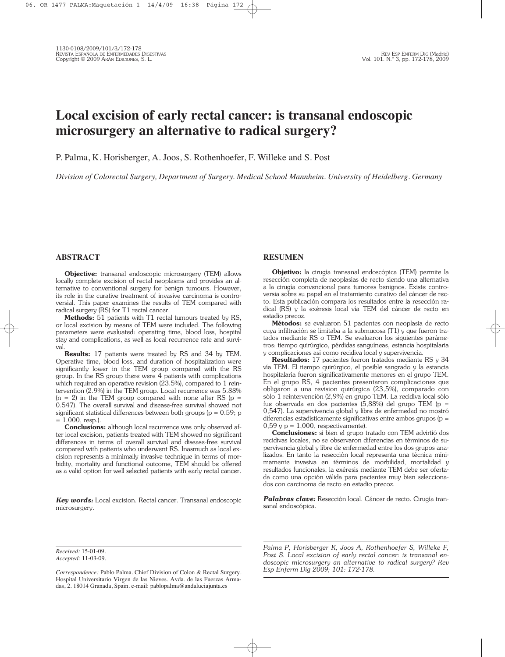# **Local excision of early rectal cancer: is transanal endoscopic microsurgery an alternative to radical surgery?**

P. Palma, K. Horisberger, A. Joos, S. Rothenhoefer, F. Willeke and S. Post

*Division of Colorectal Surgery, Department of Surgery. Medical School Mannheim. University of Heidelberg. Germany*

## **ABSTRACT**

**Objective:** transanal endoscopic microsurgery (TEM) allows locally complete excision of rectal neoplasms and provides an alternative to conventional surgery for benign tumours. However, its role in the curative treatment of invasive carcinoma is controversial. This paper examines the results of TEM compared with radical surgery (RS) for T1 rectal cancer.

**Methods:** 51 patients with T1 rectal tumours treated by RS, or local excision by means of TEM were included. The following parameters were evaluated: operating time, blood loss, hospital stay and complications, as well as local recurrence rate and survival.

**Results:** 17 patients were treated by RS and 34 by TEM. Operative time, blood loss, and duration of hospitalization were significantly lower in the TEM group compared with the RS group. In the RS group there were 4 patients with complications which required an operative revision (23.5%), compared to 1 reintervention (2.9%) in the TEM group. Local recurrence was 5.88%  $(n = 2)$  in the TEM group compared with none after RS (p = 0.547). The overall survival and disease-free survival showed not significant statistical differences between both groups ( $p = 0.59$ ; p  $= 1.000$ , resp.).

**Conclusions:** although local recurrence was only observed after local excision, patients treated with TEM showed no significant differences in terms of overall survival and disease-free survival compared with patients who underwent RS. Inasmuch as local excision represents a minimally invasive technique in terms of morbidity, mortality and functional outcome, TEM should be offered as a valid option for well selected patients with early rectal cancer.

*Key words:* Local excision. Rectal cancer. Transanal endoscopic microsurgery.

### **RESUMEN**

**Objetivo:** la cirugía transanal endoscópica (TEM) permite la resección completa de neoplasias de recto siendo una alternativa a la cirugía convencional para tumores benignos. Existe controversia sobre su papel en el tratamiento curativo del cáncer de recto. Esta publicación compara los resultados entre la resección radical (RS) y la exéresis local vía TEM del cáncer de recto en estadio precoz.

**Métodos:** se evaluaron 51 pacientes con neoplasia de recto cuya infiltración se limitaba a la submucosa (T1) y que fueron tratados mediante RS o TEM. Se evaluaron los siguientes parámetros: tiempo quirúrgico, pérdidas sanguíneas, estancia hospitalaria y complicaciones así como recidiva local y supervivencia.

**Resultados:** 17 pacientes fueron tratados mediante RS y 34 vía TEM. El tiempo quirúrgico, el posible sangrado y la estancia hospitalaria fueron significativamente menores en el grupo TEM. En el grupo RS, 4 pacientes presentaron complicaciones que obligaron a una revision quirúrgica (23,5%), comparado con sólo 1 reintervención (2,9%) en grupo TEM. La recidiva local sólo fue observada en dos pacientes (5,88%) del grupo TEM (p = 0,547). La supervivencia global y libre de enfermedad no mostró diferencias estadísticamente significativas entre ambos grupos ( $p =$  $0,59$  y p = 1,000, respectivamente).

**Conclusiones:** si bien el grupo tratado con TEM advirtió dos recidivas locales, no se observaron diferencias en términos de supervivencia global y libre de enfermedad entre los dos grupos analizados. En tanto la resección local representa una técnica mínimamente invasiva en términos de morbilidad, mortalidad y resultados funcionales, la exéresis mediante TEM debe ser ofertada como una opción válida para pacientes muy bien seleccionados con carcinoma de recto en estadio precoz.

*Palabras clave:* Resección local. Cáncer de recto. Cirugía transanal endoscópica.

*Received:* 15-01-09. *Accepted:* 11-03-09. *Palma P, Horisberger K, Joos A, Rothenhoefer S, Willeke F, Post S. Local excision of early rectal cancer: is transanal endoscopic microsurgery an alternative to radical surgery? Rev Esp Enferm Dig 2009; 101: 172-178.*

*Correspondence:* Pablo Palma. Chief Division of Colon & Rectal Surgery. Hospital Universitario Virgen de las Nieves. Avda. de las Fuerzas Armadas, 2. 18014 Granada, Spain. e-mail: pablopalma@andaluciajunta.es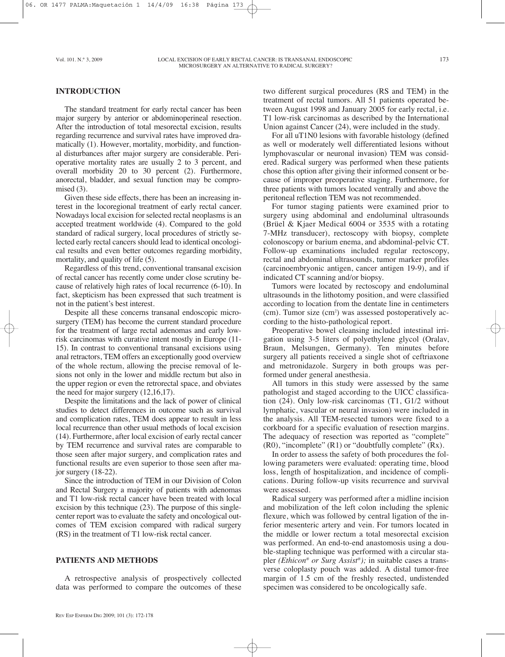## **INTRODUCTION**

The standard treatment for early rectal cancer has been major surgery by anterior or abdominoperineal resection. After the introduction of total mesorectal excision, results regarding recurrence and survival rates have improved dramatically (1). However, mortality, morbidity, and functional disturbances after major surgery are considerable. Perioperative mortality rates are usually 2 to 3 percent, and overall morbidity 20 to 30 percent (2). Furthermore, anorectal, bladder, and sexual function may be compromised  $(3)$ .

Given these side effects, there has been an increasing interest in the locoregional treatment of early rectal cancer. Nowadays local excision for selected rectal neoplasms is an accepted treatment worldwide (4). Compared to the gold standard of radical surgery, local procedures of strictly selected early rectal cancers should lead to identical oncological results and even better outcomes regarding morbidity, mortality, and quality of life (5).

Regardless of this trend, conventional transanal excision of rectal cancer has recently come under close scrutiny because of relatively high rates of local recurrence (6-10). In fact, skepticism has been expressed that such treatment is not in the patient's best interest.

Despite all these concerns transanal endoscopic microsurgery (TEM) has become the current standard procedure for the treatment of large rectal adenomas and early lowrisk carcinomas with curative intent mostly in Europe (11- 15). In contrast to conventional transanal excisions using anal retractors, TEM offers an exceptionally good overview of the whole rectum, allowing the precise removal of lesions not only in the lower and middle rectum but also in the upper region or even the retrorectal space, and obviates the need for major surgery (12,16,17).

Despite the limitations and the lack of power of clinical studies to detect differences in outcome such as survival and complication rates, TEM does appear to result in less local recurrence than other usual methods of local excision (14). Furthermore, after local excision of early rectal cancer by TEM recurrence and survival rates are comparable to those seen after major surgery, and complication rates and functional results are even superior to those seen after major surgery (18-22).

Since the introduction of TEM in our Division of Colon and Rectal Surgery a majority of patients with adenomas and T1 low-risk rectal cancer have been treated with local excision by this technique (23). The purpose of this singlecenter report was to evaluate the safety and oncological outcomes of TEM excision compared with radical surgery (RS) in the treatment of T1 low-risk rectal cancer.

# **PATIENTS AND METHODS**

A retrospective analysis of prospectively collected data was performed to compare the outcomes of these

For all uT1N0 lesions with favorable histology (defined as well or moderately well differentiated lesions without lymphovascular or neuronal invasion) TEM was considered. Radical surgery was performed when these patients chose this option after giving their informed consent or because of improper preoperative staging. Furthermore, for three patients with tumors located ventrally and above the peritoneal reflection TEM was not recommended.

For tumor staging patients were examined prior to surgery using abdominal and endoluminal ultrasounds (Brüel & Kjaer Medical 6004 or 3535 with a rotating 7-MHz transducer), rectoscopy with biopsy, complete colonoscopy or barium enema, and abdominal-pelvic CT. Follow-up examinations included regular rectoscopy, rectal and abdominal ultrasounds, tumor marker profiles (carcinoembryonic antigen, cancer antigen 19-9), and if indicated CT scanning and/or biopsy.

Tumors were located by rectoscopy and endoluminal ultrasounds in the lithotomy position, and were classified according to location from the dentate line in centimeters  $(cm)$ . Tumor size  $(cm<sup>2</sup>)$  was assessed postoperatively according to the histo-pathological report.

Preoperative bowel cleansing included intestinal irrigation using 3-5 liters of polyethylene glycol (Oralav, Braun, Melsungen, Germany). Ten minutes before surgery all patients received a single shot of ceftriaxone and metronidazole. Surgery in both groups was performed under general anesthesia.

All tumors in this study were assessed by the same pathologist and staged according to the UICC classification (24). Only low-risk carcinomas (T1, G1/2 without lymphatic, vascular or neural invasion) were included in the analysis. All TEM-resected tumors were fixed to a corkboard for a specific evaluation of resection margins. The adequacy of resection was reported as "complete"  $(R0)$ , "incomplete"  $(R1)$  or "doubtfully complete"  $(Rx)$ .

In order to assess the safety of both procedures the following parameters were evaluated: operating time, blood loss, length of hospitalization, and incidence of complications. During follow-up visits recurrence and survival were assessed.

Radical surgery was performed after a midline incision and mobilization of the left colon including the splenic flexure, which was followed by central ligation of the inferior mesenteric artery and vein. For tumors located in the middle or lower rectum a total mesorectal excision was performed. An end-to-end anastomosis using a double-stapling technique was performed with a circular stapler *(Ethicon® or Surg Assist ®);* in suitable cases a transverse coloplasty pouch was added. A distal tumor-free margin of 1.5 cm of the freshly resected, undistended specimen was considered to be oncologically safe.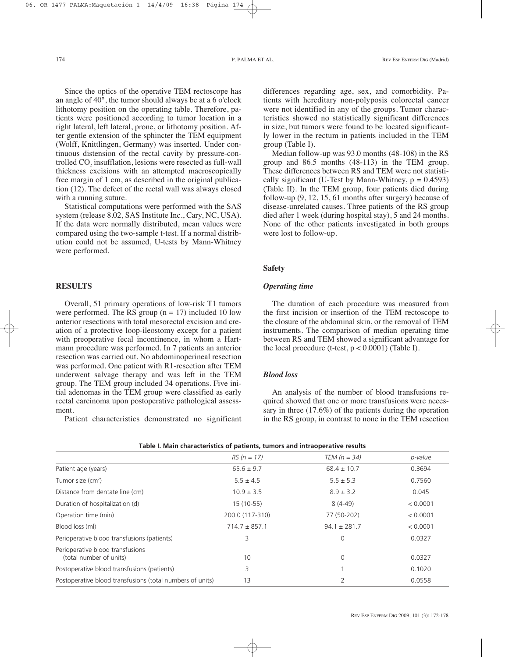Since the optics of the operative TEM rectoscope has an angle of  $40^{\circ}$ , the tumor should always be at a 6 o'clock lithotomy position on the operating table. Therefore, patients were positioned according to tumor location in a right lateral, left lateral, prone, or lithotomy position. After gentle extension of the sphincter the TEM equipment (Wolff, Knittlingen, Germany) was inserted. Under continuous distension of the rectal cavity by pressure-controlled CO<sub>2</sub> insufflation, lesions were resected as full-wall thickness excisions with an attempted macroscopically free margin of 1 cm, as described in the original publication (12). The defect of the rectal wall was always closed with a running suture.

Statistical computations were performed with the SAS system (release 8.02, SAS Institute Inc., Cary, NC, USA). If the data were normally distributed, mean values were compared using the two-sample t-test. If a normal distribution could not be assumed, U-tests by Mann-Whitney were performed.

## **RESULTS**

Overall, 51 primary operations of low-risk T1 tumors were performed. The RS group  $(n = 17)$  included 10 low anterior resections with total mesorectal excision and creation of a protective loop-ileostomy except for a patient with preoperative fecal incontinence, in whom a Hartmann procedure was performed. In 7 patients an anterior resection was carried out. No abdominoperineal resection was performed. One patient with R1-resection after TEM underwent salvage therapy and was left in the TEM group. The TEM group included 34 operations. Five initial adenomas in the TEM group were classified as early rectal carcinoma upon postoperative pathological assessment.

Patient characteristics demonstrated no significant

differences regarding age, sex, and comorbidity. Patients with hereditary non-polyposis colorectal cancer were not identified in any of the groups. Tumor characteristics showed no statistically significant differences in size, but tumors were found to be located significantly lower in the rectum in patients included in the TEM group (Table I).

Median follow-up was 93.0 months (48-108) in the RS group and 86.5 months (48-113) in the TEM group. These differences between RS and TEM were not statistically significant (U-Test by Mann-Whitney,  $p = 0.4593$ ) (Table II). In the TEM group, four patients died during follow-up (9, 12, 15, 61 months after surgery) because of disease-unrelated causes. Three patients of the RS group died after 1 week (during hospital stay), 5 and 24 months. None of the other patients investigated in both groups were lost to follow-up.

## **Safety**

## *Operating time*

The duration of each procedure was measured from the first incision or insertion of the TEM rectoscope to the closure of the abdominal skin, or the removal of TEM instruments. The comparison of median operating time between RS and TEM showed a significant advantage for the local procedure (t-test,  $p < 0.0001$ ) (Table I).

## *Blood loss*

An analysis of the number of blood transfusions required showed that one or more transfusions were necessary in three (17.6%) of the patients during the operation in the RS group, in contrast to none in the TEM resection

|                                                             | $RS (n = 17)$     | $TEM (n = 34)$   | p-value  |
|-------------------------------------------------------------|-------------------|------------------|----------|
| Patient age (years)                                         | $65.6 \pm 9.7$    | $68.4 \pm 10.7$  | 0.3694   |
| Tumor size (cm <sup>2</sup> )                               | $5.5 \pm 4.5$     | $5.5 \pm 5.3$    | 0.7560   |
| Distance from dentate line (cm)                             | $10.9 \pm 3.5$    | $8.9 \pm 3.2$    | 0.045    |
| Duration of hospitalization (d)                             | $15(10-55)$       | $8(4-49)$        | < 0.0001 |
| Operation time (min)                                        | 200.0 (117-310)   | 77 (50-202)      | < 0.0001 |
| Blood loss (ml)                                             | $714.7 \pm 857.1$ | $94.1 \pm 281.7$ | < 0.0001 |
| Perioperative blood transfusions (patients)                 | 3                 | 0                | 0.0327   |
| Perioperative blood transfusions<br>(total number of units) | 10                | $\mathbf 0$      | 0.0327   |
| Postoperative blood transfusions (patients)                 | 3                 |                  | 0.1020   |
| Postoperative blood transfusions (total numbers of units)   | 13                | $\overline{2}$   | 0.0558   |

| Table I. Main characteristics of patients, tumors and intraoperative results |
|------------------------------------------------------------------------------|
|------------------------------------------------------------------------------|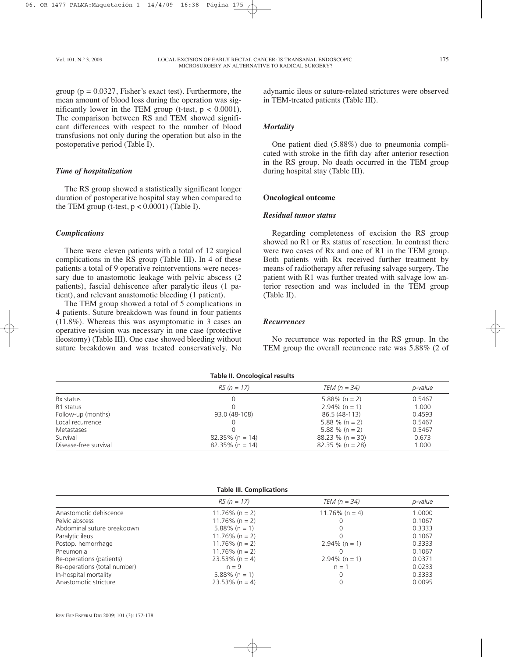group ( $p = 0.0327$ , Fisher's exact test). Furthermore, the mean amount of blood loss during the operation was significantly lower in the TEM group (t-test,  $p < 0.0001$ ). The comparison between RS and TEM showed significant differences with respect to the number of blood transfusions not only during the operation but also in the postoperative period (Table I).

# *Time of hospitalization*

The RS group showed a statistically significant longer duration of postoperative hospital stay when compared to the TEM group (t-test,  $p < 0.0001$ ) (Table I).

## *Complications*

There were eleven patients with a total of 12 surgical complications in the RS group (Table III). In 4 of these patients a total of 9 operative reinterventions were necessary due to anastomotic leakage with pelvic abscess (2 patients), fascial dehiscence after paralytic ileus (1 patient), and relevant anastomotic bleeding (1 patient).

The TEM group showed a total of 5 complications in 4 patients. Suture breakdown was found in four patients (11.8%). Whereas this was asymptomatic in 3 cases an operative revision was necessary in one case (protective ileostomy) (Table III). One case showed bleeding without suture breakdown and was treated conservatively. No adynamic ileus or suture-related strictures were observed in TEM-treated patients (Table III).

## *Mortality*

One patient died (5.88%) due to pneumonia complicated with stroke in the fifth day after anterior resection in the RS group. No death occurred in the TEM group during hospital stay (Table III).

# **Oncological outcome**

#### *Residual tumor status*

Regarding completeness of excision the RS group showed no R1 or Rx status of resection. In contrast there were two cases of Rx and one of R1 in the TEM group. Both patients with Rx received further treatment by means of radiotherapy after refusing salvage surgery. The patient with R1 was further treated with salvage low anterior resection and was included in the TEM group (Table II).

#### *Recurrences*

No recurrence was reported in the RS group. In the TEM group the overall recurrence rate was 5.88% (2 of

| rapic iii Uricological Icsaics |                    |                     |                |  |
|--------------------------------|--------------------|---------------------|----------------|--|
|                                | $RS (n = 17)$      | TEM $(n = 34)$      | <i>p-value</i> |  |
| Rx status                      |                    | $5.88\%$ (n = 2)    | 0.5467         |  |
| R1 status                      |                    | $2.94\%$ (n = 1)    | 1.000          |  |
| Follow-up (months)             | 93.0 (48-108)      | 86.5 (48-113)       | 0.4593         |  |
| Local recurrence               |                    | 5.88 % (n = 2)      | 0.5467         |  |
| Metastases                     |                    | 5.88 % (n = 2)      | 0.5467         |  |
| Survival                       | $82.35\%$ (n = 14) | $88.23 \%$ (n = 30) | 0.673          |  |
| Disease-free survival          | $82.35\%$ (n = 14) | $82.35 \%$ (n = 28) | 1.000          |  |

#### **Table II. Oncological results**

#### **Table III. Complications**

|                              | $RS (n = 17)$     | TEM $(n = 34)$    | p-value |
|------------------------------|-------------------|-------------------|---------|
| Anastomotic dehiscence       | $11.76\%$ (n = 2) | $11.76\%$ (n = 4) | 1.0000  |
| Pelvic abscess               | $11.76\%$ (n = 2) |                   | 0.1067  |
| Abdominal suture breakdown   | $5.88\%$ (n = 1)  | 0                 | 0.3333  |
| Paralytic ileus              | $11.76\%$ (n = 2) |                   | 0.1067  |
| Postop. hemorrhage           | $11.76\%$ (n = 2) | $2.94\%$ (n = 1)  | 0.3333  |
| Pneumonia                    | $11.76\%$ (n = 2) |                   | 0.1067  |
| Re-operations (patients)     | $23.53\%$ (n = 4) | $2.94\%$ (n = 1)  | 0.0371  |
| Re-operations (total number) | $n = 9$           | $n = 1$           | 0.0233  |
| In-hospital mortality        | $5.88\%$ (n = 1)  | 0                 | 0.3333  |
| Anastomotic stricture        | $23.53\%$ (n = 4) | 0                 | 0.0095  |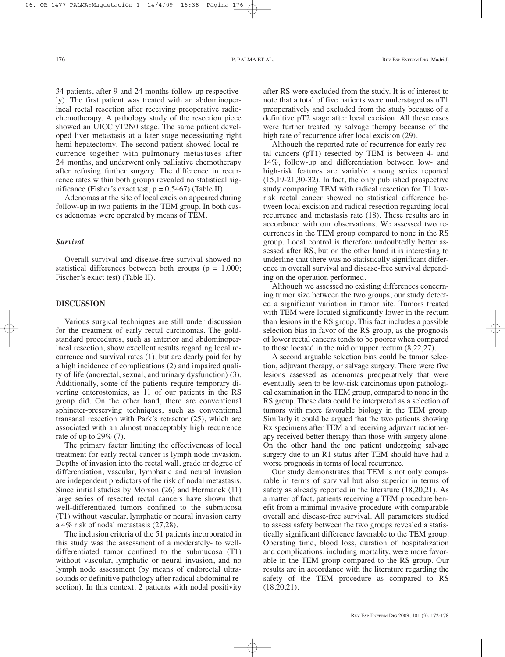34 patients, after 9 and 24 months follow-up respectively). The first patient was treated with an abdominoperineal rectal resection after receiving preoperative radiochemotherapy. A pathology study of the resection piece showed an UICC yT2N0 stage. The same patient developed liver metastasis at a later stage necessitating right hemi-hepatectomy. The second patient showed local recurrence together with pulmonary metastases after 24 months, and underwent only palliative chemotherapy after refusing further surgery. The difference in recurrence rates within both groups revealed no statistical significance (Fisher's exact test,  $p = 0.5467$ ) (Table II).

Adenomas at the site of local excision appeared during follow-up in two patients in the TEM group. In both cases adenomas were operated by means of TEM.

#### *Survival*

Overall survival and disease-free survival showed no statistical differences between both groups ( $p = 1.000$ ; Fischer's exact test) (Table II).

# **DISCUSSION**

Various surgical techniques are still under discussion for the treatment of early rectal carcinomas. The goldstandard procedures, such as anterior and abdominoperineal resection, show excellent results regarding local recurrence and survival rates (1), but are dearly paid for by a high incidence of complications (2) and impaired quality of life (anorectal, sexual, and urinary dysfunction) (3). Additionally, some of the patients require temporary diverting enterostomies, as 11 of our patients in the RS group did. On the other hand, there are conventional sphincter-preserving techniques, such as conventional transanal resection with Park's retractor (25), which are associated with an almost unacceptably high recurrence rate of up to  $29\%$  (7).

The primary factor limiting the effectiveness of local treatment for early rectal cancer is lymph node invasion. Depths of invasion into the rectal wall, grade or degree of differentiation, vascular, lymphatic and neural invasion are independent predictors of the risk of nodal metastasis. Since initial studies by Morson (26) and Hermanek (11) large series of resected rectal cancers have shown that well-differentiated tumors confined to the submucosa (T1) without vascular, lymphatic or neural invasion carry a 4% risk of nodal metastasis (27,28).

The inclusion criteria of the 51 patients incorporated in this study was the assessment of a moderately- to welldifferentiated tumor confined to the submucosa (T1) without vascular, lymphatic or neural invasion, and no lymph node assessment (by means of endorectal ultrasounds or definitive pathology after radical abdominal resection). In this context, 2 patients with nodal positivity

after RS were excluded from the study. It is of interest to note that a total of five patients were understaged as uT1 preoperatively and excluded from the study because of a definitive pT2 stage after local excision. All these cases were further treated by salvage therapy because of the high rate of recurrence after local excision (29).

Although the reported rate of recurrence for early rectal cancers (pT1) resected by TEM is between 4- and 14%, follow-up and differentiation between low- and high-risk features are variable among series reported (15,19-21,30-32). In fact, the only published prospective study comparing TEM with radical resection for T1 lowrisk rectal cancer showed no statistical difference between local excision and radical resection regarding local recurrence and metastasis rate (18). These results are in accordance with our observations. We assessed two recurrences in the TEM group compared to none in the RS group. Local control is therefore undoubtedly better assessed after RS, but on the other hand it is interesting to underline that there was no statistically significant difference in overall survival and disease-free survival depending on the operation performed.

Although we assessed no existing differences concerning tumor size between the two groups, our study detected a significant variation in tumor site. Tumors treated with TEM were located significantly lower in the rectum than lesions in the RS group. This fact includes a possible selection bias in favor of the RS group, as the prognosis of lower rectal cancers tends to be poorer when compared to those located in the mid or upper rectum (8,22,27).

A second arguable selection bias could be tumor selection, adjuvant therapy, or salvage surgery. There were five lesions assessed as adenomas preoperatively that were eventually seen to be low-risk carcinomas upon pathological examination in the TEM group, compared to none in the RS group. These data could be interpreted as a selection of tumors with more favorable biology in the TEM group. Similarly it could be argued that the two patients showing Rx specimens after TEM and receiving adjuvant radiotherapy received better therapy than those with surgery alone. On the other hand the one patient undergoing salvage surgery due to an R1 status after TEM should have had a worse prognosis in terms of local recurrence.

Our study demonstrates that TEM is not only comparable in terms of survival but also superior in terms of safety as already reported in the literature (18,20,21). As a matter of fact, patients receiving a TEM procedure benefit from a minimal invasive procedure with comparable overall and disease-free survival. All parameters studied to assess safety between the two groups revealed a statistically significant difference favorable to the TEM group. Operating time, blood loss, duration of hospitalization and complications, including mortality, were more favorable in the TEM group compared to the RS group. Our results are in accordance with the literature regarding the safety of the TEM procedure as compared to RS  $(18,20,21)$ .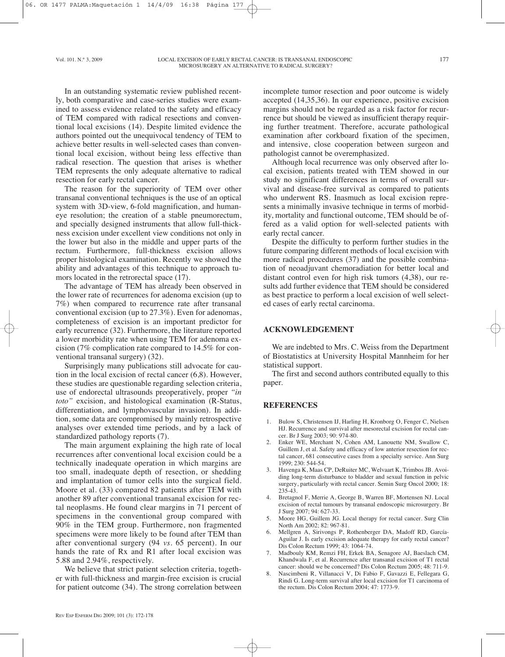In an outstanding systematic review published recently, both comparative and case-series studies were examined to assess evidence related to the safety and efficacy of TEM compared with radical resections and conventional local excisions (14). Despite limited evidence the authors pointed out the unequivocal tendency of TEM to achieve better results in well-selected cases than conventional local excision, without being less effective than radical resection. The question that arises is whether TEM represents the only adequate alternative to radical resection for early rectal cancer.

The reason for the superiority of TEM over other transanal conventional techniques is the use of an optical system with 3D-view, 6-fold magnification, and humaneye resolution; the creation of a stable pneumorectum, and specially designed instruments that allow full-thickness excision under excellent view conditions not only in the lower but also in the middle and upper parts of the rectum. Furthermore, full-thickness excision allows proper histological examination. Recently we showed the ability and advantages of this technique to approach tumors located in the retrorectal space (17).

The advantage of TEM has already been observed in the lower rate of recurrences for adenoma excision (up to 7%) when compared to recurrence rate after transanal conventional excision (up to 27.3%). Even for adenomas, completeness of excision is an important predictor for early recurrence (32). Furthermore, the literature reported a lower morbidity rate when using TEM for adenoma excision (7% complication rate compared to 14.5% for conventional transanal surgery) (32).

Surprisingly many publications still advocate for caution in the local excision of rectal cancer (6,8). However, these studies are questionable regarding selection criteria, use of endorectal ultrasounds preoperatively, proper *"in toto"* excision, and histological examination (R-Status, differentiation, and lymphovascular invasion). In addition, some data are compromised by mainly retrospective analyses over extended time periods, and by a lack of standardized pathology reports (7).

The main argument explaining the high rate of local recurrences after conventional local excision could be a technically inadequate operation in which margins are too small, inadequate depth of resection, or shedding and implantation of tumor cells into the surgical field. Moore et al. (33) compared 82 patients after TEM with another 89 after conventional transanal excision for rectal neoplasms. He found clear margins in 71 percent of specimens in the conventional group compared with 90% in the TEM group. Furthermore, non fragmented specimens were more likely to be found after TEM than after conventional surgery (94 *vs.* 65 percent). In our hands the rate of Rx and R1 after local excision was 5.88 and 2.94%, respectively.

We believe that strict patient selection criteria, together with full-thickness and margin-free excision is crucial for patient outcome (34). The strong correlation between incomplete tumor resection and poor outcome is widely accepted (14,35,36). In our experience, positive excision margins should not be regarded as a risk factor for recurrence but should be viewed as insufficient therapy requiring further treatment. Therefore, accurate pathological examination after corkboard fixation of the specimen, and intensive, close cooperation between surgeon and pathologist cannot be overemphasized.

Although local recurrence was only observed after local excision, patients treated with TEM showed in our study no significant differences in terms of overall survival and disease-free survival as compared to patients who underwent RS. Inasmuch as local excision represents a minimally invasive technique in terms of morbidity, mortality and functional outcome, TEM should be offered as a valid option for well-selected patients with early rectal cancer.

Despite the difficulty to perform further studies in the future comparing different methods of local excision with more radical procedures (37) and the possible combination of neoadjuvant chemoradiation for better local and distant control even for high risk tumors (4,38), our results add further evidence that TEM should be considered as best practice to perform a local excision of well selected cases of early rectal carcinoma.

# **ACKNOWLEDGEMENT**

We are indebted to Mrs. C. Weiss from the Department of Biostatistics at University Hospital Mannheim for her statistical support.

The first and second authors contributed equally to this paper.

## **REFERENCES**

- 1. Bulow S, Christensen IJ, Harling H, Kronborg O, Fenger C, Nielsen HJ. Recurrence and survival after mesorectal excision for rectal cancer. Br J Surg 2003; 90: 974-80.
- 2. Enker WE, Merchant N, Cohen AM, Lanouette NM, Swallow C, Guillem J, et al. Safety and efficacy of low anterior resection for rectal cancer, 681 consecutive cases from a specialty service. Ann Surg 1999; 230: 544-54.
- 3. Havenga K, Maas CP, DeRuiter MC, Welvaart K, Trimbos JB. Avoiding long-term disturbance to bladder and sexual function in pelvic surgery, particularly with rectal cancer. Semin Surg Oncol 2000; 18: 235-43.
- 4. Bretagnol F, Merrie A, George B, Warren BF, Mortensen NJ. Local excision of rectal tumours by transanal endoscopic microsurgery. Br J Surg 2007; 94: 627-33.
- 5. Moore HG, Guillem JG. Local therapy for rectal cancer. Surg Clin North Am 2002; 82: 967-81.
- 6. Mellgren A, Sirivongs P, Rothenberger DA, Madoff RD, García-Aguilar J. Is early excision adequate therapy for early rectal cancer? Dis Colon Rectum 1999; 43: 1064-74.
- 7. Madbouly KM, Remzi FH, Erkek BA, Senagore AJ, Baeslach CM, Khandwala F, et al. Recurrence after transanal excision of T1 rectal cancer: should we be concerned? Dis Colon Rectum 2005; 48: 711-9.
- 8. Nascimbeni R, Villanacci V, Di Fabio F, Gavazzi E, Fellegara G, Rindi G. Long-term survival after local excision for T1 carcinoma of the rectum. Dis Colon Rectum 2004; 47: 1773-9.